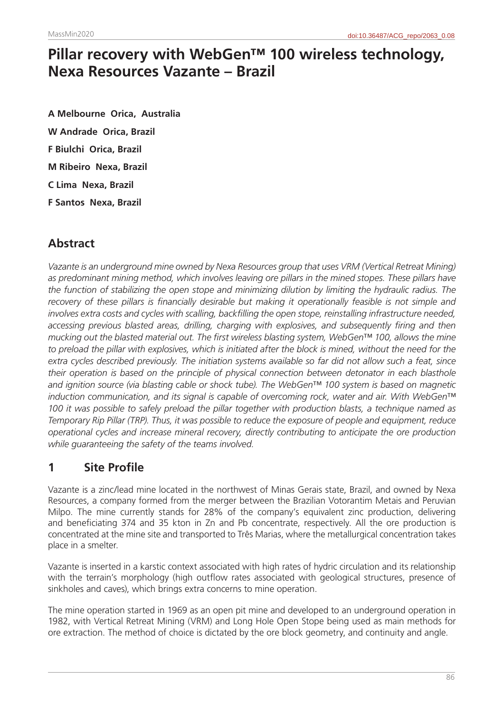# **Pillar recovery with WebGen™ 100 wireless technology, Nexa Resources Vazante – Brazil**

**A Melbourne Orica, Australia W Andrade Orica, Brazil F Biulchi Orica, Brazil M Ribeiro Nexa, Brazil C Lima Nexa, Brazil F Santos Nexa, Brazil**

# **Abstract**

*Vazante is an underground mine owned by Nexa Resources group that uses VRM (Vertical Retreat Mining)*  as predominant mining method, which involves leaving ore pillars in the mined stopes. These pillars have *the function of stabilizing the open stope and minimizing dilution by limiting the hydraulic radius. The recovery of these pillars is financially desirable but making it operationally feasible is not simple and involves extra costs and cycles with scalling, backfilling the open stope, reinstalling infrastructure needed, accessing previous blasted areas, drilling, charging with explosives, and subsequently firing and then mucking out the blasted material out. The first wireless blasting system, WebGen™ 100, allows the mine*  to preload the pillar with explosives, which is initiated after the block is mined, without the need for the *extra cycles described previously. The initiation systems available so far did not allow such a feat, since their operation is based on the principle of physical connection between detonator in each blasthole and ignition source (via blasting cable or shock tube). The WebGen™ 100 system is based on magnetic induction communication, and its signal is capable of overcoming rock, water and air. With WebGen™ 100 it was possible to safely preload the pillar together with production blasts, a technique named as Temporary Rip Pillar (TRP). Thus, it was possible to reduce the exposure of people and equipment, reduce operational cycles and increase mineral recovery, directly contributing to anticipate the ore production while guaranteeing the safety of the teams involved.*

# **1 Site Profile**

Vazante is a zinc/lead mine located in the northwest of Minas Gerais state, Brazil, and owned by Nexa Resources, a company formed from the merger between the Brazilian Votorantim Metais and Peruvian Milpo. The mine currently stands for 28% of the company's equivalent zinc production, delivering and beneficiating 374 and 35 kton in Zn and Pb concentrate, respectively. All the ore production is concentrated at the mine site and transported to Três Marias, where the metallurgical concentration takes place in a smelter.

Vazante is inserted in a karstic context associated with high rates of hydric circulation and its relationship with the terrain's morphology (high outflow rates associated with geological structures, presence of sinkholes and caves), which brings extra concerns to mine operation.

The mine operation started in 1969 as an open pit mine and developed to an underground operation in 1982, with Vertical Retreat Mining (VRM) and Long Hole Open Stope being used as main methods for ore extraction. The method of choice is dictated by the ore block geometry, and continuity and angle.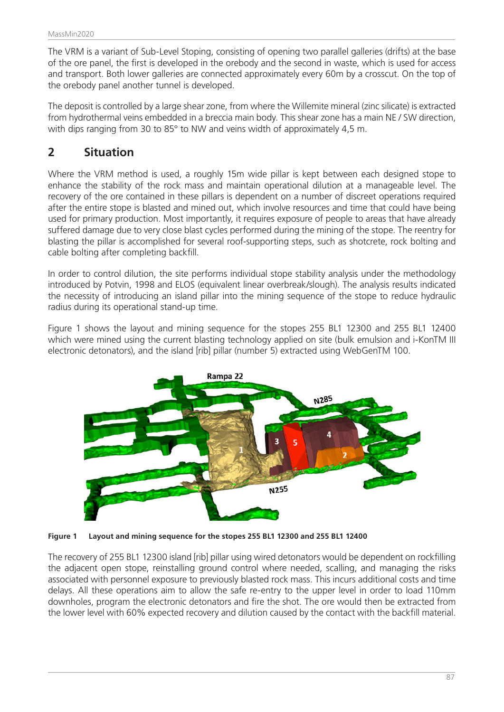The VRM is a variant of Sub-Level Stoping, consisting of opening two parallel galleries (drifts) at the base of the ore panel, the first is developed in the orebody and the second in waste, which is used for access and transport. Both lower galleries are connected approximately every 60m by a crosscut. On the top of the orebody panel another tunnel is developed.

The deposit is controlled by a large shear zone, from where the Willemite mineral (zinc silicate) is extracted from hydrothermal veins embedded in a breccia main body. This shear zone has a main NE / SW direction, with dips ranging from 30 to 85° to NW and veins width of approximately 4,5 m.

### **2 Situation**

Where the VRM method is used, a roughly 15m wide pillar is kept between each designed stope to enhance the stability of the rock mass and maintain operational dilution at a manageable level. The recovery of the ore contained in these pillars is dependent on a number of discreet operations required after the entire stope is blasted and mined out, which involve resources and time that could have being used for primary production. Most importantly, it requires exposure of people to areas that have already suffered damage due to very close blast cycles performed during the mining of the stope. The reentry for blasting the pillar is accomplished for several roof-supporting steps, such as shotcrete, rock bolting and cable bolting after completing backfill.

In order to control dilution, the site performs individual stope stability analysis under the methodology introduced by Potvin, 1998 and ELOS (equivalent linear overbreak/slough). The analysis results indicated the necessity of introducing an island pillar into the mining sequence of the stope to reduce hydraulic radius during its operational stand-up time.

Figure 1 shows the layout and mining sequence for the stopes 255 BL1 12300 and 255 BL1 12400 which were mined using the current blasting technology applied on site (bulk emulsion and i-KonTM III electronic detonators), and the island [rib] pillar (number 5) extracted using WebGenTM 100.



**Figure 1 Layout and mining sequence for the stopes 255 BL1 12300 and 255 BL1 12400**

The recovery of 255 BL1 12300 island [rib] pillar using wired detonators would be dependent on rockfilling the adjacent open stope, reinstalling ground control where needed, scalling, and managing the risks associated with personnel exposure to previously blasted rock mass. This incurs additional costs and time delays. All these operations aim to allow the safe re-entry to the upper level in order to load 110mm downholes, program the electronic detonators and fire the shot. The ore would then be extracted from the lower level with 60% expected recovery and dilution caused by the contact with the backfill material.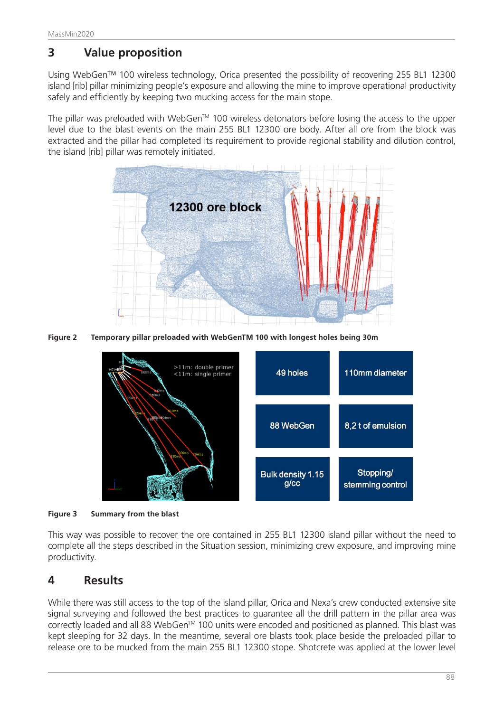# **3 Value proposition**

Using WebGen<sup>™</sup> 100 wireless technology, Orica presented the possibility of recovering 255 BL1 12300 island [rib] pillar minimizing people's exposure and allowing the mine to improve operational productivity safely and efficiently by keeping two mucking access for the main stope.

The pillar was preloaded with WebGen™ 100 wireless detonators before losing the access to the upper level due to the blast events on the main 255 BL1 12300 ore body. After all ore from the block was extracted and the pillar had completed its requirement to provide regional stability and dilution control, the island [rib] pillar was remotely initiated.



**Figure 2 Temporary pillar preloaded with WebGenTM 100 with longest holes being 30m**



**Figure 3 Summary from the blast**

This way was possible to recover the ore contained in 255 BL1 12300 island pillar without the need to complete all the steps described in the Situation session, minimizing crew exposure, and improving mine productivity.

# **4 Results**

While there was still access to the top of the island pillar, Orica and Nexa's crew conducted extensive site signal surveying and followed the best practices to guarantee all the drill pattern in the pillar area was correctly loaded and all 88 WebGen™ 100 units were encoded and positioned as planned. This blast was kept sleeping for 32 days. In the meantime, several ore blasts took place beside the preloaded pillar to release ore to be mucked from the main 255 BL1 12300 stope. Shotcrete was applied at the lower level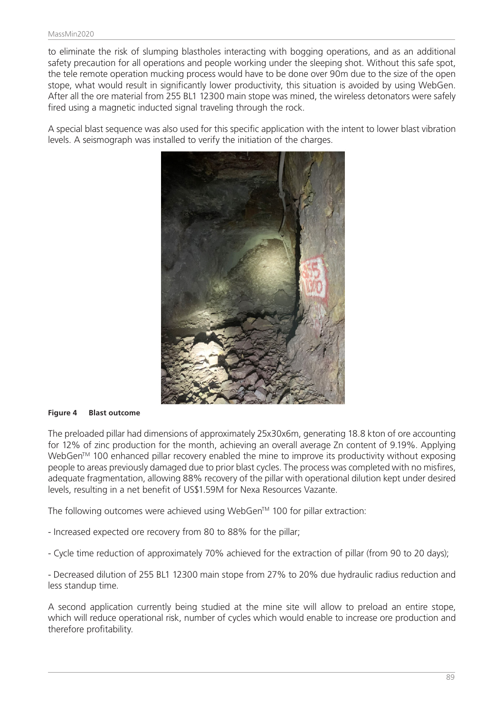to eliminate the risk of slumping blastholes interacting with bogging operations, and as an additional safety precaution for all operations and people working under the sleeping shot. Without this safe spot, the tele remote operation mucking process would have to be done over 90m due to the size of the open stope, what would result in significantly lower productivity, this situation is avoided by using WebGen. After all the ore material from 255 BL1 12300 main stope was mined, the wireless detonators were safely fired using a magnetic inducted signal traveling through the rock.

A special blast sequence was also used for this specific application with the intent to lower blast vibration levels. A seismograph was installed to verify the initiation of the charges.



#### **Figure 4 Blast outcome**

The preloaded pillar had dimensions of approximately 25x30x6m, generating 18.8 kton of ore accounting for 12% of zinc production for the month, achieving an overall average Zn content of 9.19%. Applying WebGen<sup>™</sup> 100 enhanced pillar recovery enabled the mine to improve its productivity without exposing people to areas previously damaged due to prior blast cycles. The process was completed with no misfires, adequate fragmentation, allowing 88% recovery of the pillar with operational dilution kept under desired levels, resulting in a net benefit of US\$1.59M for Nexa Resources Vazante.

The following outcomes were achieved using WebGen™ 100 for pillar extraction:

- Increased expected ore recovery from 80 to 88% for the pillar;
- Cycle time reduction of approximately 70% achieved for the extraction of pillar (from 90 to 20 days);

- Decreased dilution of 255 BL1 12300 main stope from 27% to 20% due hydraulic radius reduction and less standup time.

A second application currently being studied at the mine site will allow to preload an entire stope, which will reduce operational risk, number of cycles which would enable to increase ore production and therefore profitability.